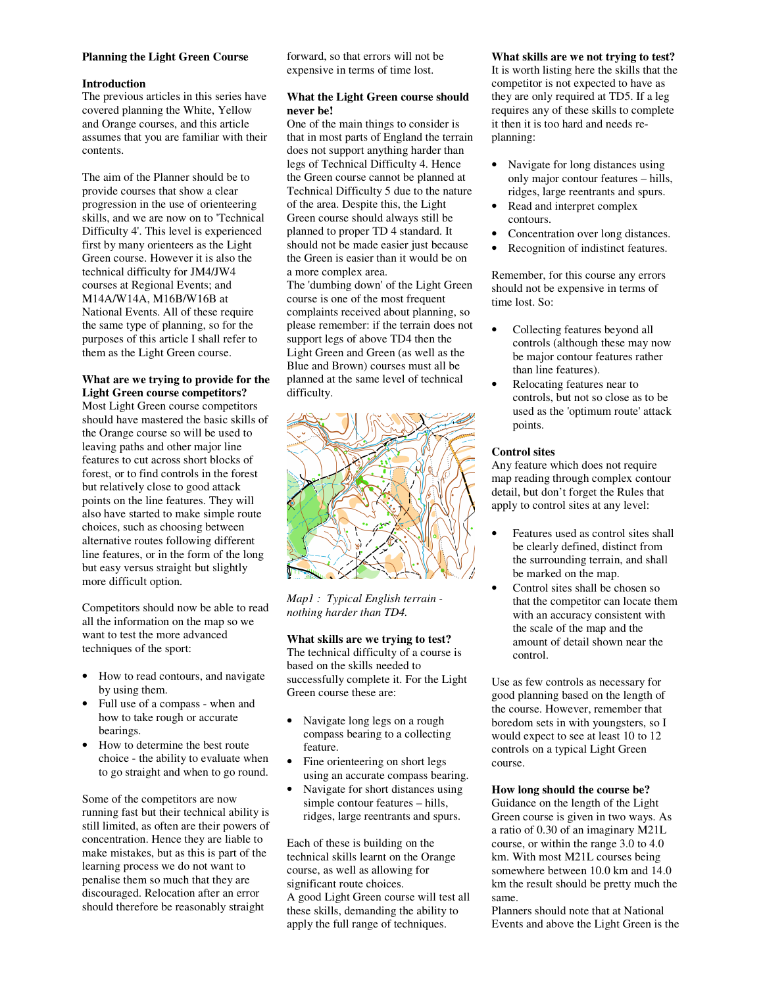## **Planning the Light Green Course**

#### **Introduction**

The previous articles in this series have covered planning the White, Yellow and Orange courses, and this article assumes that you are familiar with their contents.

The aim of the Planner should be to provide courses that show a clear progression in the use of orienteering skills, and we are now on to 'Technical Difficulty 4'. This level is experienced first by many orienteers as the Light Green course. However it is also the technical difficulty for JM4/JW4 courses at Regional Events; and M14A/W14A, M16B/W16B at National Events. All of these require the same type of planning, so for the purposes of this article I shall refer to them as the Light Green course.

# **What are we trying to provide for the Light Green course competitors?**

Most Light Green course competitors should have mastered the basic skills of the Orange course so will be used to leaving paths and other major line features to cut across short blocks of forest, or to find controls in the forest but relatively close to good attack points on the line features. They will also have started to make simple route choices, such as choosing between alternative routes following different line features, or in the form of the long but easy versus straight but slightly more difficult option.

Competitors should now be able to read all the information on the map so we want to test the more advanced techniques of the sport:

- How to read contours, and navigate by using them.
- Full use of a compass when and how to take rough or accurate bearings.
- How to determine the best route choice - the ability to evaluate when to go straight and when to go round.

Some of the competitors are now running fast but their technical ability is still limited, as often are their powers of concentration. Hence they are liable to make mistakes, but as this is part of the learning process we do not want to penalise them so much that they are discouraged. Relocation after an error should therefore be reasonably straight

forward, so that errors will not be expensive in terms of time lost.

## **What the Light Green course should never be!**

One of the main things to consider is that in most parts of England the terrain does not support anything harder than legs of Technical Difficulty 4. Hence the Green course cannot be planned at Technical Difficulty 5 due to the nature of the area. Despite this, the Light Green course should always still be planned to proper TD 4 standard. It should not be made easier just because the Green is easier than it would be on a more complex area.

The 'dumbing down' of the Light Green course is one of the most frequent complaints received about planning, so please remember: if the terrain does not support legs of above TD4 then the Light Green and Green (as well as the Blue and Brown) courses must all be planned at the same level of technical difficulty.



*Map1 : Typical English terrain nothing harder than TD4.* 

#### **What skills are we trying to test?**

The technical difficulty of a course is based on the skills needed to successfully complete it. For the Light Green course these are:

- Navigate long legs on a rough compass bearing to a collecting feature.
- Fine orienteering on short legs using an accurate compass bearing.
- Navigate for short distances using simple contour features – hills, ridges, large reentrants and spurs.

Each of these is building on the technical skills learnt on the Orange course, as well as allowing for significant route choices. A good Light Green course will test all these skills, demanding the ability to apply the full range of techniques.

**What skills are we not trying to test?**  It is worth listing here the skills that the competitor is not expected to have as they are only required at TD5. If a leg requires any of these skills to complete it then it is too hard and needs replanning:

- Navigate for long distances using only major contour features – hills, ridges, large reentrants and spurs.
- Read and interpret complex contours.
- Concentration over long distances.
- Recognition of indistinct features.

Remember, for this course any errors should not be expensive in terms of time lost. So:

- Collecting features beyond all controls (although these may now be major contour features rather than line features).
- Relocating features near to controls, but not so close as to be used as the 'optimum route' attack points.

## **Control sites**

Any feature which does not require map reading through complex contour detail, but don't forget the Rules that apply to control sites at any level:

- Features used as control sites shall be clearly defined, distinct from the surrounding terrain, and shall be marked on the map.
- Control sites shall be chosen so that the competitor can locate them with an accuracy consistent with the scale of the map and the amount of detail shown near the control.

Use as few controls as necessary for good planning based on the length of the course. However, remember that boredom sets in with youngsters, so I would expect to see at least 10 to 12 controls on a typical Light Green course.

# **How long should the course be?**

Guidance on the length of the Light Green course is given in two ways. As a ratio of 0.30 of an imaginary M21L course, or within the range 3.0 to 4.0 km. With most M21L courses being somewhere between 10.0 km and 14.0 km the result should be pretty much the same.

Planners should note that at National Events and above the Light Green is the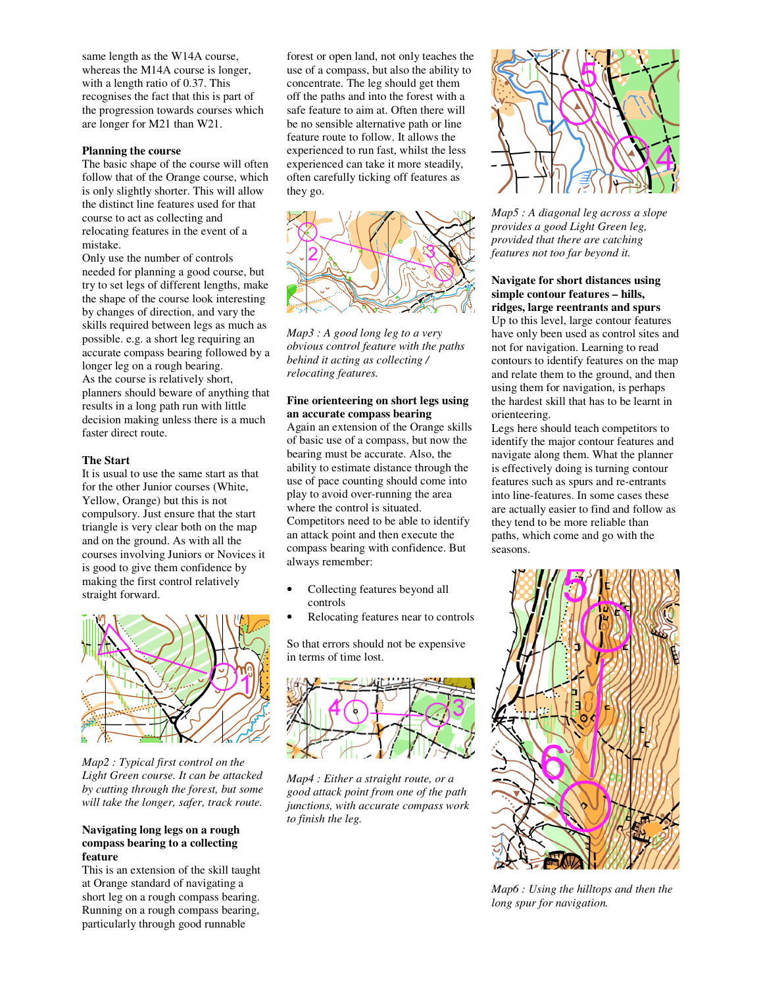same length as the W14A course, whereas the M14A course is longer, with a length ratio of 0.37. This recognises the fact that this is part of the progression towards courses which are longer for M21 than W21.

## **Planning the course**

The basic shape of the course will often follow that of the Orange course, which is only slightly shorter. This will allow the distinct line features used for that course to act as collecting and relocating features in the event of a mistake.

Only use the number of controls needed for planning a good course, but try to set legs of different lengths, make the shape of the course look interesting by changes of direction, and vary the skills required between legs as much as possible. e.g. a short leg requiring an accurate compass bearing followed by a longer leg on a rough bearing. As the course is relatively short, planners should beware of anything that results in a long path run with little decision making unless there is a much faster direct route.

## **The Start**

It is usual to use the same start as that for the other Junior courses (White, Yellow, Orange) but this is not compulsory. Just ensure that the start triangle is very clear both on the map and on the ground. As with all the courses involving Juniors or Novices it is good to give them confidence by making the first control relatively straight forward.



*Map2 : Typical first control on the Light Green course. It can be attacked by cutting through the forest, but some will take the longer, safer, track route.* 

## **Navigating long legs on a rough compass bearing to a collecting feature**

This is an extension of the skill taught at Orange standard of navigating a short leg on a rough compass bearing. Running on a rough compass bearing, particularly through good runnable

forest or open land, not only teaches the use of a compass, but also the ability to concentrate. The leg should get them off the paths and into the forest with a safe feature to aim at. Often there will be no sensible alternative path or line feature route to follow. It allows the experienced to run fast, whilst the less experienced can take it more steadily, often carefully ticking off features as they go.



*Map3 : A good long leg to a very obvious control feature with the paths behind it acting as collecting / relocating features.* 

# **Fine orienteering on short legs using an accurate compass bearing**

Again an extension of the Orange skills of basic use of a compass, but now the bearing must be accurate. Also, the ability to estimate distance through the use of pace counting should come into play to avoid over-running the area where the control is situated. Competitors need to be able to identify an attack point and then execute the compass bearing with confidence. But always remember:

- Collecting features beyond all controls
- Relocating features near to controls

So that errors should not be expensive in terms of time lost.



*Map4 : Either a straight route, or a good attack point from one of the path junctions, with accurate compass work to finish the leg.* 



*Map5 : A diagonal leg across a slope provides a good Light Green leg, provided that there are catching features not too far beyond it.* 

# **Navigate for short distances using simple contour features – hills, ridges, large reentrants and spurs**

Up to this level, large contour features have only been used as control sites and not for navigation. Learning to read contours to identify features on the map and relate them to the ground, and then using them for navigation, is perhaps the hardest skill that has to be learnt in orienteering.

Legs here should teach competitors to identify the major contour features and navigate along them. What the planner is effectively doing is turning contour features such as spurs and re-entrants into line-features. In some cases these are actually easier to find and follow as they tend to be more reliable than paths, which come and go with the seasons.



*Map6 : Using the hilltops and then the long spur for navigation.*